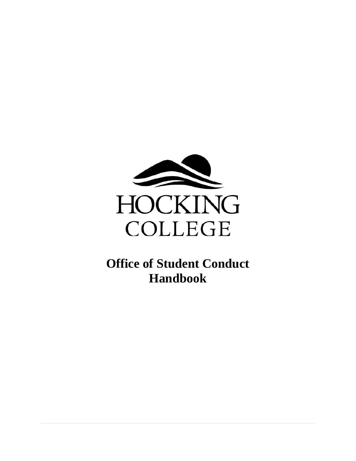

**Office of Student Conduct Handbook**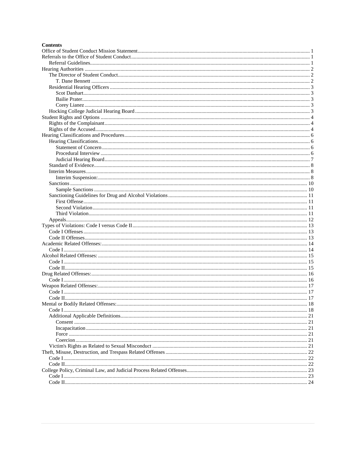#### **Contents**

| Code L |  |
|--------|--|
|        |  |
|        |  |
|        |  |
|        |  |
|        |  |
|        |  |
|        |  |
|        |  |
|        |  |
|        |  |
|        |  |
|        |  |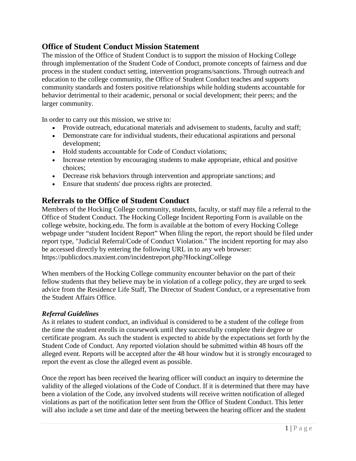# <span id="page-2-0"></span>**Office of Student Conduct Mission Statement**

The mission of the Office of Student Conduct is to support the mission of Hocking College through implementation of the Student Code of Conduct, promote concepts of fairness and due process in the student conduct setting, intervention programs/sanctions. Through outreach and education to the college community, the Office of Student Conduct teaches and supports community standards and fosters positive relationships while holding students accountable for behavior detrimental to their academic, personal or social development; their peers; and the larger community.

In order to carry out this mission, we strive to:

- Provide outreach, educational materials and advisement to students, faculty and staff;
- Demonstrate care for individual students, their educational aspirations and personal development;
- Hold students accountable for Code of Conduct violations;
- Increase retention by encouraging students to make appropriate, ethical and positive choices;
- Decrease risk behaviors through intervention and appropriate sanctions; and
- Ensure that students' due process rights are protected.

# <span id="page-2-1"></span>**Referrals to the Office of Student Conduct**

Members of the Hocking College community, students, faculty, or staff may file a referral to the Office of Student Conduct. The Hocking College Incident Reporting Form is available on the college website, hocking.edu. The form is available at the bottom of every Hocking College webpage under "student Incident Report" When filing the report, the report should be filed under report type, "Judicial Referral/Code of Conduct Violation." The incident reporting for may also be accessed directly by entering the following URL in to any web browser: https://publicdocs.maxient.com/incidentreport.php?HockingCollege

When members of the Hocking College community encounter behavior on the part of their fellow students that they believe may be in violation of a college policy, they are urged to seek advice from the Residence Life Staff, The Director of Student Conduct, or a representative from the Student Affairs Office.

### <span id="page-2-2"></span>*Referral Guidelines*

As it relates to student conduct, an individual is considered to be a student of the college from the time the student enrolls in coursework until they successfully complete their degree or certificate program. As such the student is expected to abide by the expectations set forth by the Student Code of Conduct. Any reported violation should be submitted within 48 hours off the alleged event. Reports will be accepted after the 48 hour window but it is strongly encouraged to report the event as close the alleged event as possible.

Once the report has been received the hearing officer will conduct an inquiry to determine the validity of the alleged violations of the Code of Conduct. If it is determined that there may have been a violation of the Code, any involved students will receive written notification of alleged violations as part of the notification letter sent from the Office of Student Conduct. This letter will also include a set time and date of the meeting between the hearing officer and the student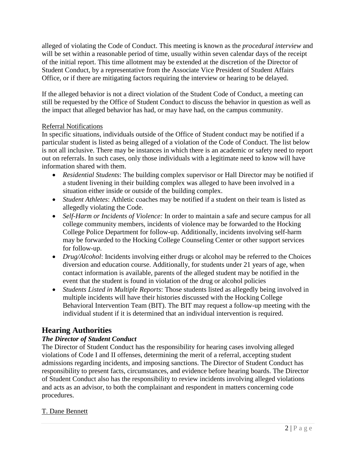alleged of violating the Code of Conduct. This meeting is known as the *procedural interview* and will be set within a reasonable period of time, usually within seven calendar days of the receipt of the initial report. This time allotment may be extended at the discretion of the Director of Student Conduct, by a representative from the Associate Vice President of Student Affairs Office, or if there are mitigating factors requiring the interview or hearing to be delayed.

If the alleged behavior is not a direct violation of the Student Code of Conduct, a meeting can still be requested by the Office of Student Conduct to discuss the behavior in question as well as the impact that alleged behavior has had, or may have had, on the campus community.

## Referral Notifications

In specific situations, individuals outside of the Office of Student conduct may be notified if a particular student is listed as being alleged of a violation of the Code of Conduct. The list below is not all inclusive. There may be instances in which there is an academic or safety need to report out on referrals. In such cases, only those individuals with a legitimate need to know will have information shared with them.

- *Residential Students*: The building complex supervisor or Hall Director may be notified if a student livening in their building complex was alleged to have been involved in a situation either inside or outside of the building complex.
- *Student Athletes*: Athletic coaches may be notified if a student on their team is listed as allegedly violating the Code.
- *Self-Harm or Incidents of Violence:* In order to maintain a safe and secure campus for all college community members, incidents of violence may be forwarded to the Hocking College Police Department for follow-up. Additionally, incidents involving self-harm may be forwarded to the Hocking College Counseling Center or other support services for follow-up.
- *Drug/Alcohol*: Incidents involving either drugs or alcohol may be referred to the Choices diversion and education course. Additionally, for students under 21 years of age, when contact information is available, parents of the alleged student may be notified in the event that the student is found in violation of the drug or alcohol policies
- *Students Listed in Multiple Reports*: Those students listed as allegedly being involved in multiple incidents will have their histories discussed with the Hocking College Behavioral Intervention Team (BIT). The BIT may request a follow-up meeting with the individual student if it is determined that an individual intervention is required.

# <span id="page-3-0"></span>**Hearing Authorities**

## <span id="page-3-1"></span>*The Director of Student Conduct*

The Director of Student Conduct has the responsibility for hearing cases involving alleged violations of Code I and II offenses, determining the merit of a referral, accepting student admissions regarding incidents, and imposing sanctions. The Director of Student Conduct has responsibility to present facts, circumstances, and evidence before hearing boards. The Director of Student Conduct also has the responsibility to review incidents involving alleged violations and acts as an advisor, to both the complainant and respondent in matters concerning code procedures.

## <span id="page-3-2"></span>T. Dane Bennett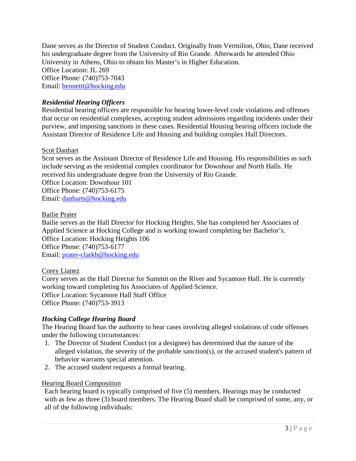Dane serves as the Director of Student Conduct. Originally from Vermilion, Ohio, Dane received his undergraduate degree from the University of Rio Grande. Afterwards he attended Ohio University in Athens, Ohio to obtain his Master's in Higher Education. Office Location: JL 269 Office Phone: (740)753-7043 Email: [bennettt@hocking.edu](mailto:bennettt@hocking.edu)

## <span id="page-4-0"></span>*Residential Hearing Officers*

Residential hearing officers are responsible for hearing lower-level code violations and offenses that occur on residential complexes, accepting student admissions regarding incidents under their purview, and imposing sanctions in these cases. Residential Housing hearing officers include the Assistant Director of Residence Life and Housing and building complex Hall Directors.

### <span id="page-4-1"></span>Scot Danhart

Scot serves as the Assistant Director of Residence Life and Housing. His responsibilities as such include serving as the residential complex coordinator for Downhour and North Halls. He received his undergraduate degree from the University of Rio Grande.

Office Location: Downhour 101 Office Phone: (740)753-6175 Email: [danharts@hocking.edu](mailto:danharts@hocking.edu)

### <span id="page-4-2"></span>Bailie Prater

Bailie serves as the Hall Director for Hocking Heights. She has completed her Associates of Applied Science at Hocking College and is working toward completing her Bachelor's. Office Location: Hocking Heights 106 Office Phone: (740)753-6177 Email: [prater-clarkb@hocking.edu](mailto:prater-clarkb@hocking.edu)

### <span id="page-4-3"></span>Corey Lianez

Corey serves as the Hall Director for Summit on the River and Sycamore Hall. He is currently working toward completing his Associates of Applied Science. Office Location: Sycamore Hall Staff Office Office Phone: (740)753-3913

### <span id="page-4-4"></span>*Hocking College Hearing Board*

The Hearing Board has the authority to hear cases involving alleged violations of code offenses under the following circumstances:

- 1. The Director of Student Conduct (or a designee) has determined that the nature of the alleged violation, the severity of the probable sanction(s), or the accused student's pattern of behavior warrants special attention.
- 2. The accused student requests a formal hearing.

### Hearing Board Composition

Each hearing board is typically comprised of five (5) members. Hearings may be conducted with as few as three (3) board members. The Hearing Board shall be comprised of some, any, or all of the following individuals: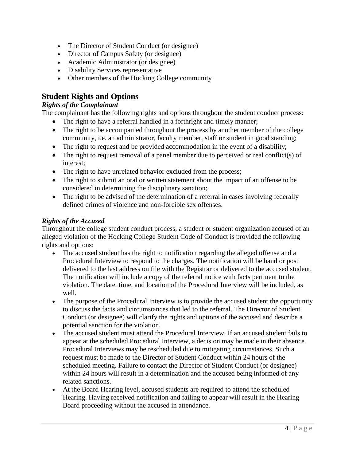- The Director of Student Conduct (or designee)
- Director of Campus Safety (or designee)
- Academic Administrator (or designee)
- Disability Services representative
- Other members of the Hocking College community

# <span id="page-5-0"></span>**Student Rights and Options**

### <span id="page-5-1"></span>*Rights of the Complainant*

The complainant has the following rights and options throughout the student conduct process:

- The right to have a referral handled in a forthright and timely manner;
- The right to be accompanied throughout the process by another member of the college community, i.e. an administrator, faculty member, staff or student in good standing;
- The right to request and be provided accommodation in the event of a disability;
- The right to request removal of a panel member due to perceived or real conflict(s) of interest;
- The right to have unrelated behavior excluded from the process;
- The right to submit an oral or written statement about the impact of an offense to be considered in determining the disciplinary sanction;
- The right to be advised of the determination of a referral in cases involving federally defined crimes of violence and non-forcible sex offenses.

## <span id="page-5-2"></span>*Rights of the Accused*

Throughout the college student conduct process, a student or student organization accused of an alleged violation of the Hocking College Student Code of Conduct is provided the following rights and options:

- The accused student has the right to notification regarding the alleged offense and a Procedural Interview to respond to the charges. The notification will be hand or post delivered to the last address on file with the Registrar or delivered to the accused student. The notification will include a copy of the referral notice with facts pertinent to the violation. The date, time, and location of the Procedural Interview will be included, as well.
- The purpose of the Procedural Interview is to provide the accused student the opportunity to discuss the facts and circumstances that led to the referral. The Director of Student Conduct (or designee) will clarify the rights and options of the accused and describe a potential sanction for the violation.
- The accused student must attend the Procedural Interview. If an accused student fails to appear at the scheduled Procedural Interview, a decision may be made in their absence. Procedural Interviews may be rescheduled due to mitigating circumstances. Such a request must be made to the Director of Student Conduct within 24 hours of the scheduled meeting. Failure to contact the Director of Student Conduct (or designee) within 24 hours will result in a determination and the accused being informed of any related sanctions.
- At the Board Hearing level, accused students are required to attend the scheduled Hearing. Having received notification and failing to appear will result in the Hearing Board proceeding without the accused in attendance.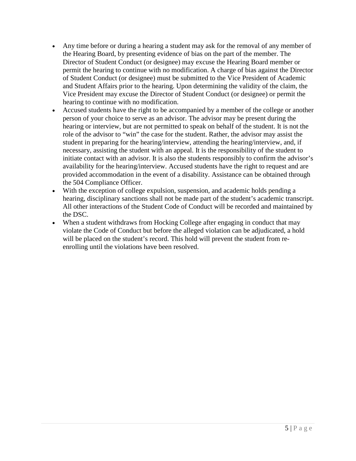- Any time before or during a hearing a student may ask for the removal of any member of the Hearing Board, by presenting evidence of bias on the part of the member. The Director of Student Conduct (or designee) may excuse the Hearing Board member or permit the hearing to continue with no modification. A charge of bias against the Director of Student Conduct (or designee) must be submitted to the Vice President of Academic and Student Affairs prior to the hearing. Upon determining the validity of the claim, the Vice President may excuse the Director of Student Conduct (or designee) or permit the hearing to continue with no modification.
- Accused students have the right to be accompanied by a member of the college or another person of your choice to serve as an advisor. The advisor may be present during the hearing or interview, but are not permitted to speak on behalf of the student. It is not the role of the advisor to "win" the case for the student. Rather, the advisor may assist the student in preparing for the hearing/interview, attending the hearing/interview, and, if necessary, assisting the student with an appeal. It is the responsibility of the student to initiate contact with an advisor. It is also the students responsibly to confirm the advisor's availability for the hearing/interview. Accused students have the right to request and are provided accommodation in the event of a disability. Assistance can be obtained through the 504 Compliance Officer.
- With the exception of college expulsion, suspension, and academic holds pending a hearing, disciplinary sanctions shall not be made part of the student's academic transcript. All other interactions of the Student Code of Conduct will be recorded and maintained by the DSC.
- When a student withdraws from Hocking College after engaging in conduct that may violate the Code of Conduct but before the alleged violation can be adjudicated, a hold will be placed on the student's record. This hold will prevent the student from reenrolling until the violations have been resolved.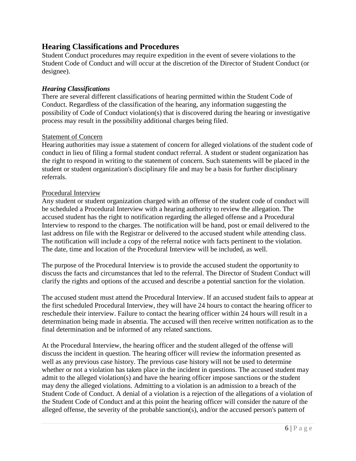# <span id="page-7-0"></span>**Hearing Classifications and Procedures**

Student Conduct procedures may require expedition in the event of severe violations to the Student Code of Conduct and will occur at the discretion of the Director of Student Conduct (or designee).

### <span id="page-7-1"></span>*Hearing Classifications*

There are several different classifications of hearing permitted within the Student Code of Conduct. Regardless of the classification of the hearing, any information suggesting the possibility of Code of Conduct violation(s) that is discovered during the hearing or investigative process may result in the possibility additional charges being filed.

### <span id="page-7-2"></span>Statement of Concern

Hearing authorities may issue a statement of concern for alleged violations of the student code of conduct in lieu of filing a formal student conduct referral. A student or student organization has the right to respond in writing to the statement of concern. Such statements will be placed in the student or student organization's disciplinary file and may be a basis for further disciplinary referrals.

### <span id="page-7-3"></span>Procedural Interview

Any student or student organization charged with an offense of the student code of conduct will be scheduled a Procedural Interview with a hearing authority to review the allegation. The accused student has the right to notification regarding the alleged offense and a Procedural Interview to respond to the charges. The notification will be hand, post or email delivered to the last address on file with the Registrar or delivered to the accused student while attending class. The notification will include a copy of the referral notice with facts pertinent to the violation. The date, time and location of the Procedural Interview will be included, as well.

The purpose of the Procedural Interview is to provide the accused student the opportunity to discuss the facts and circumstances that led to the referral. The Director of Student Conduct will clarify the rights and options of the accused and describe a potential sanction for the violation.

The accused student must attend the Procedural Interview. If an accused student fails to appear at the first scheduled Procedural Interview, they will have 24 hours to contact the hearing officer to reschedule their interview. Failure to contact the hearing officer within 24 hours will result in a determination being made in absentia. The accused will then receive written notification as to the final determination and be informed of any related sanctions.

At the Procedural Interview, the hearing officer and the student alleged of the offense will discuss the incident in question. The hearing officer will review the information presented as well as any previous case history. The previous case history will not be used to determine whether or not a violation has taken place in the incident in questions. The accused student may admit to the alleged violation(s) and have the hearing officer impose sanctions or the student may deny the alleged violations. Admitting to a violation is an admission to a breach of the Student Code of Conduct. A denial of a violation is a rejection of the allegations of a violation of the Student Code of Conduct and at this point the hearing officer will consider the nature of the alleged offense, the severity of the probable sanction(s), and/or the accused person's pattern of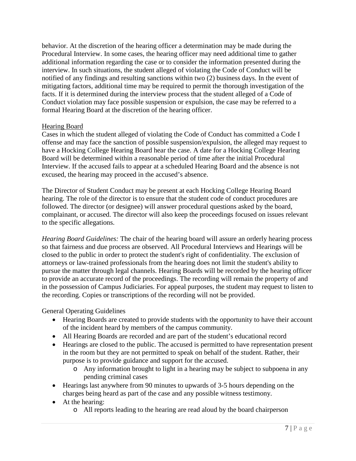behavior. At the discretion of the hearing officer a determination may be made during the Procedural Interview. In some cases, the hearing officer may need additional time to gather additional information regarding the case or to consider the information presented during the interview. In such situations, the student alleged of violating the Code of Conduct will be notified of any findings and resulting sanctions within two (2) business days. In the event of mitigating factors, additional time may be required to permit the thorough investigation of the facts. If it is determined during the interview process that the student alleged of a Code of Conduct violation may face possible suspension or expulsion, the case may be referred to a formal Hearing Board at the discretion of the hearing officer.

### <span id="page-8-0"></span>Hearing Board

Cases in which the student alleged of violating the Code of Conduct has committed a Code I offense and may face the sanction of possible suspension/expulsion, the alleged may request to have a Hocking College Hearing Board hear the case. A date for a Hocking College Hearing Board will be determined within a reasonable period of time after the initial Procedural Interview. If the accused fails to appear at a scheduled Hearing Board and the absence is not excused, the hearing may proceed in the accused's absence.

The Director of Student Conduct may be present at each Hocking College Hearing Board hearing. The role of the director is to ensure that the student code of conduct procedures are followed. The director (or designee) will answer procedural questions asked by the board, complainant, or accused. The director will also keep the proceedings focused on issues relevant to the specific allegations.

*Hearing Board Guidelines:* The chair of the hearing board will assure an orderly hearing process so that fairness and due process are observed. All Procedural Interviews and Hearings will be closed to the public in order to protect the student's right of confidentiality. The exclusion of attorneys or law-trained professionals from the hearing does not limit the student's ability to pursue the matter through legal channels. Hearing Boards will be recorded by the hearing officer to provide an accurate record of the proceedings. The recording will remain the property of and in the possession of Campus Judiciaries. For appeal purposes, the student may request to listen to the recording. Copies or transcriptions of the recording will not be provided.

General Operating Guidelines

- Hearing Boards are created to provide students with the opportunity to have their account of the incident heard by members of the campus community.
- All Hearing Boards are recorded and are part of the student's educational record
- Hearings are closed to the public. The accused is permitted to have representation present in the room but they are not permitted to speak on behalf of the student. Rather, their purpose is to provide guidance and support for the accused.
	- o Any information brought to light in a hearing may be subject to subpoena in any pending criminal cases
- Hearings last anywhere from 90 minutes to upwards of 3-5 hours depending on the charges being heard as part of the case and any possible witness testimony.
- At the hearing:
	- o All reports leading to the hearing are read aloud by the board chairperson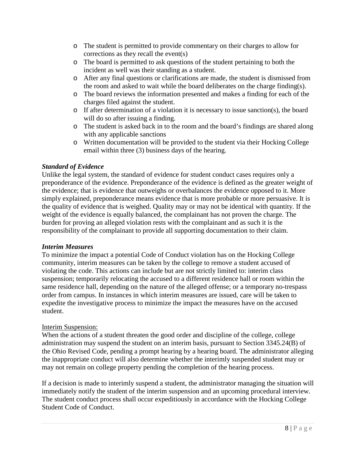- o The student is permitted to provide commentary on their charges to allow for corrections as they recall the event(s)
- o The board is permitted to ask questions of the student pertaining to both the incident as well was their standing as a student.
- o After any final questions or clarifications are made, the student is dismissed from the room and asked to wait while the board deliberates on the charge finding(s).
- o The board reviews the information presented and makes a finding for each of the charges filed against the student.
- o If after determination of a violation it is necessary to issue sanction(s), the board will do so after issuing a finding.
- o The student is asked back in to the room and the board's findings are shared along with any applicable sanctions
- o Written documentation will be provided to the student via their Hocking College email within three (3) business days of the hearing.

## <span id="page-9-0"></span>*Standard of Evidence*

Unlike the legal system, the standard of evidence for student conduct cases requires only a preponderance of the evidence. Preponderance of the evidence is defined as the greater weight of the evidence; that is evidence that outweighs or overbalances the evidence opposed to it. More simply explained, preponderance means evidence that is more probable or more persuasive. It is the quality of evidence that is weighed. Quality may or may not be identical with quantity. If the weight of the evidence is equally balanced, the complainant has not proven the charge. The burden for proving an alleged violation rests with the complainant and as such it is the responsibility of the complainant to provide all supporting documentation to their claim.

### <span id="page-9-1"></span>*Interim Measures*

To minimize the impact a potential Code of Conduct violation has on the Hocking College community, interim measures can be taken by the college to remove a student accused of violating the code. This actions can include but are not strictly limited to: interim class suspension; temporarily relocating the accused to a different residence hall or room within the same residence hall, depending on the nature of the alleged offense; or a temporary no-trespass order from campus. In instances in which interim measures are issued, care will be taken to expedite the investigative process to minimize the impact the measures have on the accused student.

### <span id="page-9-2"></span>Interim Suspension:

When the actions of a student threaten the good order and discipline of the college, college administration may suspend the student on an interim basis, pursuant to Section 3345.24(B) of the Ohio Revised Code, pending a prompt hearing by a hearing board. The administrator alleging the inappropriate conduct will also determine whether the interimly suspended student may or may not remain on college property pending the completion of the hearing process.

If a decision is made to interimly suspend a student, the administrator managing the situation will immediately notify the student of the interim suspension and an upcoming procedural interview. The student conduct process shall occur expeditiously in accordance with the Hocking College Student Code of Conduct.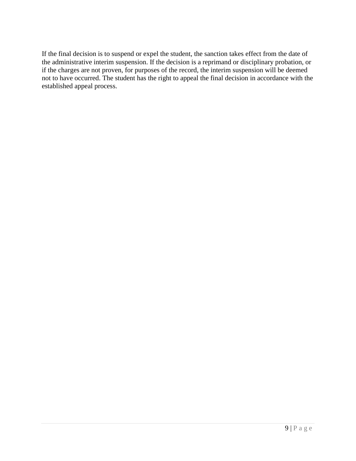If the final decision is to suspend or expel the student, the sanction takes effect from the date of the administrative interim suspension. If the decision is a reprimand or disciplinary probation, or if the charges are not proven, for purposes of the record, the interim suspension will be deemed not to have occurred. The student has the right to appeal the final decision in accordance with the established appeal process.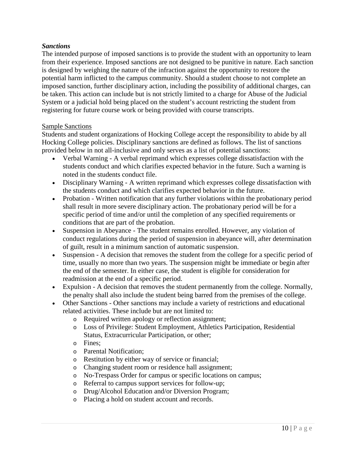### <span id="page-11-0"></span>*Sanctions*

The intended purpose of imposed sanctions is to provide the student with an opportunity to learn from their experience. Imposed sanctions are not designed to be punitive in nature. Each sanction is designed by weighing the nature of the infraction against the opportunity to restore the potential harm inflicted to the campus community. Should a student choose to not complete an imposed sanction, further disciplinary action, including the possibility of additional charges, can be taken. This action can include but is not strictly limited to a charge for Abuse of the Judicial System or a judicial hold being placed on the student's account restricting the student from registering for future course work or being provided with course transcripts.

### <span id="page-11-1"></span>Sample Sanctions

Students and student organizations of Hocking College accept the responsibility to abide by all Hocking College policies. Disciplinary sanctions are defined as follows. The list of sanctions provided below in not all-inclusive and only serves as a list of potential sanctions:

- Verbal Warning A verbal reprimand which expresses college dissatisfaction with the students conduct and which clarifies expected behavior in the future. Such a warning is noted in the students conduct file.
- Disciplinary Warning A written reprimand which expresses college dissatisfaction with the students conduct and which clarifies expected behavior in the future.
- Probation Written notification that any further violations within the probationary period shall result in more severe disciplinary action. The probationary period will be for a specific period of time and/or until the completion of any specified requirements or conditions that are part of the probation.
- Suspension in Abeyance The student remains enrolled. However, any violation of conduct regulations during the period of suspension in abeyance will, after determination of guilt, result in a minimum sanction of automatic suspension.
- Suspension A decision that removes the student from the college for a specific period of time, usually no more than two years. The suspension might be immediate or begin after the end of the semester. In either case, the student is eligible for consideration for readmission at the end of a specific period.
- Expulsion A decision that removes the student permanently from the college. Normally, the penalty shall also include the student being barred from the premises of the college.
- Other Sanctions Other sanctions may include a variety of restrictions and educational related activities. These include but are not limited to:
	- o Required written apology or reflection assignment;
	- o Loss of Privilege: Student Employment, Athletics Participation, Residential Status, Extracurricular Participation, or other;
	- o Fines;
	- o Parental Notification;
	- o Restitution by either way of service or financial;
	- o Changing student room or residence hall assignment;
	- o No-Trespass Order for campus or specific locations on campus;<br>  $\circ$  Referral to campus support services for follow-up:
	- Referral to campus support services for follow-up;
	- o Drug/Alcohol Education and/or Diversion Program;
	- o Placing a hold on student account and records.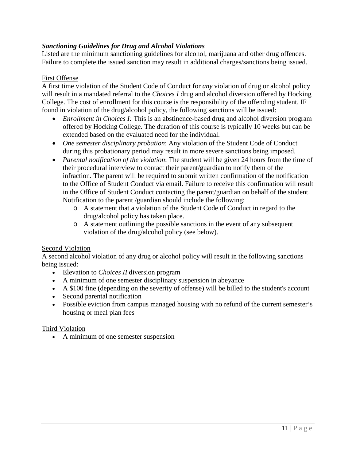## <span id="page-12-0"></span>*Sanctioning Guidelines for Drug and Alcohol Violations*

Listed are the minimum sanctioning guidelines for alcohol, marijuana and other drug offences. Failure to complete the issued sanction may result in additional charges/sanctions being issued.

### <span id="page-12-1"></span>First Offense

A first time violation of the Student Code of Conduct for *any* violation of drug or alcohol policy will result in a mandated referral to the *Choices I* drug and alcohol diversion offered by Hocking College. The cost of enrollment for this course is the responsibility of the offending student. IF found in violation of the drug/alcohol policy, the following sanctions will be issued:

- *Enrollment in Choices I:* This is an abstinence-based drug and alcohol diversion program offered by Hocking College. The duration of this course is typically 10 weeks but can be extended based on the evaluated need for the individual.
- *One semester disciplinary probation*: Any violation of the Student Code of Conduct during this probationary period may result in more severe sanctions being imposed.
- *Parental notification of the violation*: The student will be given 24 hours from the time of their procedural interview to contact their parent/guardian to notify them of the infraction. The parent will be required to submit written confirmation of the notification to the Office of Student Conduct via email. Failure to receive this confirmation will result in the Office of Student Conduct contacting the parent/guardian on behalf of the student. Notification to the parent /guardian should include the following:
	- o A statement that a violation of the Student Code of Conduct in regard to the drug/alcohol policy has taken place.
	- o A statement outlining the possible sanctions in the event of any subsequent violation of the drug/alcohol policy (see below).

### <span id="page-12-2"></span>Second Violation

A second alcohol violation of any drug or alcohol policy will result in the following sanctions being issued:

- Elevation to *Choices II* diversion program
- A minimum of one semester disciplinary suspension in abeyance
- A \$100 fine (depending on the severity of offense) will be billed to the student's account
- Second parental notification
- Possible eviction from campus managed housing with no refund of the current semester's housing or meal plan fees

### <span id="page-12-3"></span>Third Violation

• A minimum of one semester suspension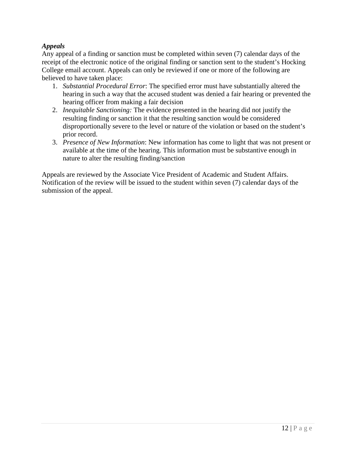## <span id="page-13-0"></span>*Appeals*

Any appeal of a finding or sanction must be completed within seven (7) calendar days of the receipt of the electronic notice of the original finding or sanction sent to the student's Hocking College email account. Appeals can only be reviewed if one or more of the following are believed to have taken place:

- 1. *Substantial Procedural Error*: The specified error must have substantially altered the hearing in such a way that the accused student was denied a fair hearing or prevented the hearing officer from making a fair decision
- 2. *Inequitable Sanctioning:* The evidence presented in the hearing did not justify the resulting finding or sanction it that the resulting sanction would be considered disproportionally severe to the level or nature of the violation or based on the student's prior record.
- 3. *Presence of New Information*: New information has come to light that was not present or available at the time of the hearing. This information must be substantive enough in nature to alter the resulting finding/sanction

Appeals are reviewed by the Associate Vice President of Academic and Student Affairs. Notification of the review will be issued to the student within seven (7) calendar days of the submission of the appeal.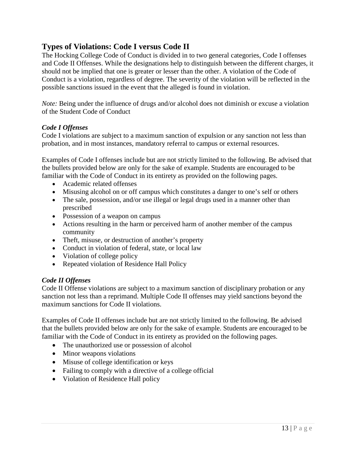# <span id="page-14-0"></span>**Types of Violations: Code I versus Code II**

The Hocking College Code of Conduct is divided in to two general categories, Code I offenses and Code II Offenses. While the designations help to distinguish between the different charges, it should not be implied that one is greater or lesser than the other. A violation of the Code of Conduct is a violation, regardless of degree. The severity of the violation will be reflected in the possible sanctions issued in the event that the alleged is found in violation.

*Note:* Being under the influence of drugs and/or alcohol does not diminish or excuse a violation of the Student Code of Conduct

### <span id="page-14-1"></span>*Code I Offenses*

Code I violations are subject to a maximum sanction of expulsion or any sanction not less than probation, and in most instances, mandatory referral to campus or external resources.

Examples of Code I offenses include but are not strictly limited to the following. Be advised that the bullets provided below are only for the sake of example. Students are encouraged to be familiar with the Code of Conduct in its entirety as provided on the following pages.

- Academic related offenses
- Misusing alcohol on or off campus which constitutes a danger to one's self or others
- The sale, possession, and/or use illegal or legal drugs used in a manner other than prescribed
- Possession of a weapon on campus
- Actions resulting in the harm or perceived harm of another member of the campus community
- Theft, misuse, or destruction of another's property
- Conduct in violation of federal, state, or local law
- Violation of college policy
- Repeated violation of Residence Hall Policy

### <span id="page-14-2"></span>*Code II Offenses*

Code II Offense violations are subject to a maximum sanction of disciplinary probation or any sanction not less than a reprimand. Multiple Code II offenses may yield sanctions beyond the maximum sanctions for Code II violations.

Examples of Code II offenses include but are not strictly limited to the following. Be advised that the bullets provided below are only for the sake of example. Students are encouraged to be familiar with the Code of Conduct in its entirety as provided on the following pages.

- The unauthorized use or possession of alcohol
- Minor weapons violations
- Misuse of college identification or keys
- Failing to comply with a directive of a college official
- Violation of Residence Hall policy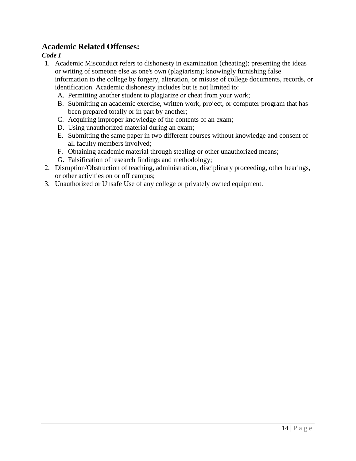# <span id="page-15-0"></span>**Academic Related Offenses:**

### <span id="page-15-1"></span>*Code I*

- 1. Academic Misconduct refers to dishonesty in examination (cheating); presenting the ideas or writing of someone else as one's own (plagiarism); knowingly furnishing false information to the college by forgery, alteration, or misuse of college documents, records, or identification. Academic dishonesty includes but is not limited to:
	- A. Permitting another student to plagiarize or cheat from your work;
	- B. Submitting an academic exercise, written work, project, or computer program that has been prepared totally or in part by another;
	- C. Acquiring improper knowledge of the contents of an exam;
	- D. Using unauthorized material during an exam;
	- E. Submitting the same paper in two different courses without knowledge and consent of all faculty members involved;
	- F. Obtaining academic material through stealing or other unauthorized means;
	- G. Falsification of research findings and methodology;
- 2. Disruption/Obstruction of teaching, administration, disciplinary proceeding, other hearings, or other activities on or off campus;
- 3. Unauthorized or Unsafe Use of any college or privately owned equipment.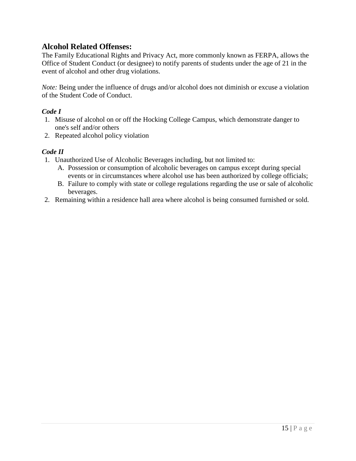# <span id="page-16-0"></span>**Alcohol Related Offenses:**

The Family Educational Rights and Privacy Act, more commonly known as FERPA, allows the Office of Student Conduct (or designee) to notify parents of students under the age of 21 in the event of alcohol and other drug violations.

*Note:* Being under the influence of drugs and/or alcohol does not diminish or excuse a violation of the Student Code of Conduct.

### <span id="page-16-1"></span>*Code I*

- 1. Misuse of alcohol on or off the Hocking College Campus, which demonstrate danger to one's self and/or others
- 2. Repeated alcohol policy violation

### <span id="page-16-2"></span>*Code II*

- 1. Unauthorized Use of Alcoholic Beverages including, but not limited to:
	- A. Possession or consumption of alcoholic beverages on campus except during special events or in circumstances where alcohol use has been authorized by college officials;
	- B. Failure to comply with state or college regulations regarding the use or sale of alcoholic beverages.
- 2. Remaining within a residence hall area where alcohol is being consumed furnished or sold.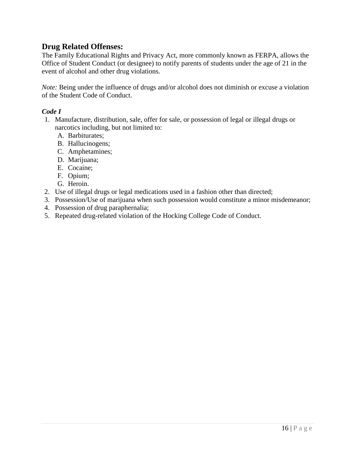# <span id="page-17-0"></span>**Drug Related Offenses:**

The Family Educational Rights and Privacy Act, more commonly known as FERPA, allows the Office of Student Conduct (or designee) to notify parents of students under the age of 21 in the event of alcohol and other drug violations.

*Note:* Being under the influence of drugs and/or alcohol does not diminish or excuse a violation of the Student Code of Conduct.

### <span id="page-17-1"></span>*Code I*

- 1. Manufacture, distribution, sale, offer for sale, or possession of legal or illegal drugs or narcotics including, but not limited to:
	- A. Barbiturates;
	- B. Hallucinogens;
	- C. Amphetamines;
	- D. Marijuana;
	- E. Cocaine;
	- F. Opium;
	- G. Heroin.
- 2. Use of illegal drugs or legal medications used in a fashion other than directed;
- 3. Possession/Use of marijuana when such possession would constitute a minor misdemeanor;
- 4. Possession of drug paraphernalia;
- 5. Repeated drug-related violation of the Hocking College Code of Conduct.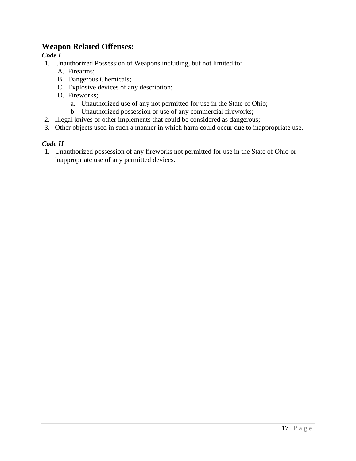# <span id="page-18-0"></span>**Weapon Related Offenses:**

## <span id="page-18-1"></span>*Code I*

- 1. Unauthorized Possession of Weapons including, but not limited to:
	- A. Firearms;
	- B. Dangerous Chemicals;
	- C. Explosive devices of any description;
	- D. Fireworks;
		- a. Unauthorized use of any not permitted for use in the State of Ohio;
		- b. Unauthorized possession or use of any commercial fireworks;
- 2. Illegal knives or other implements that could be considered as dangerous;
- 3. Other objects used in such a manner in which harm could occur due to inappropriate use.

### <span id="page-18-2"></span>*Code II*

1. Unauthorized possession of any fireworks not permitted for use in the State of Ohio or inappropriate use of any permitted devices.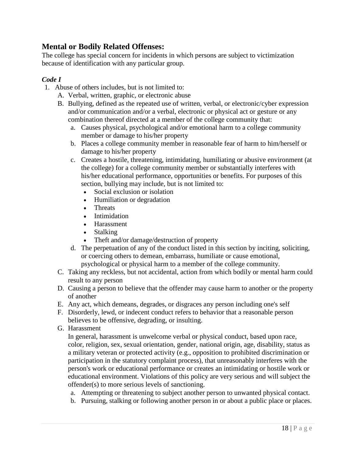# <span id="page-19-0"></span>**Mental or Bodily Related Offenses:**

The college has special concern for incidents in which persons are subject to victimization because of identification with any particular group.

## <span id="page-19-1"></span>*Code I*

- 1. Abuse of others includes, but is not limited to:
	- A. Verbal, written, graphic, or electronic abuse
	- B. Bullying, defined as the repeated use of written, verbal, or electronic/cyber expression and/or communication and/or a verbal, electronic or physical act or gesture or any combination thereof directed at a member of the college community that:
		- a. Causes physical, psychological and/or emotional harm to a college community member or damage to his/her property
		- b. Places a college community member in reasonable fear of harm to him/herself or damage to his/her property
		- c. Creates a hostile, threatening, intimidating, humiliating or abusive environment (at the college) for a college community member or substantially interferes with his/her educational performance, opportunities or benefits. For purposes of this section, bullying may include, but is not limited to:
			- Social exclusion or isolation
			- Humiliation or degradation
			- Threats
			- Intimidation
			- Harassment
			- Stalking
			- Theft and/or damage/destruction of property
		- d. The perpetuation of any of the conduct listed in this section by inciting, soliciting, or coercing others to demean, embarrass, humiliate or cause emotional, psychological or physical harm to a member of the college community.
	- C. Taking any reckless, but not accidental, action from which bodily or mental harm could result to any person
	- D. Causing a person to believe that the offender may cause harm to another or the property of another
	- E. Any act, which demeans, degrades, or disgraces any person including one's self
	- F. Disorderly, lewd, or indecent conduct refers to behavior that a reasonable person believes to be offensive, degrading, or insulting.
	- G. Harassment

In general, harassment is unwelcome verbal or physical conduct, based upon race, color, religion, sex, sexual orientation, gender, national origin, age, disability, status as a military veteran or protected activity (e.g., opposition to prohibited discrimination or participation in the statutory complaint process), that unreasonably interferes with the person's work or educational performance or creates an intimidating or hostile work or educational environment. Violations of this policy are very serious and will subject the offender(s) to more serious levels of sanctioning.

- a. Attempting or threatening to subject another person to unwanted physical contact.
- b. Pursuing, stalking or following another person in or about a public place or places.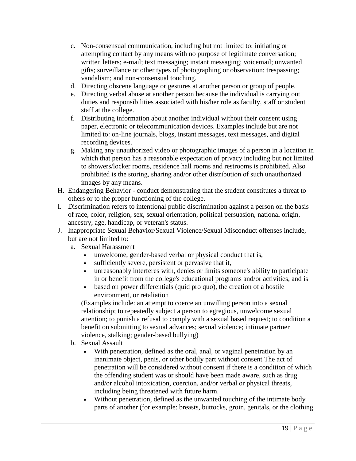- c. Non-consensual communication, including but not limited to: initiating or attempting contact by any means with no purpose of legitimate conversation; written letters; e-mail; text messaging; instant messaging; voicemail; unwanted gifts; surveillance or other types of photographing or observation; trespassing; vandalism; and non-consensual touching.
- d. Directing obscene language or gestures at another person or group of people.
- e. Directing verbal abuse at another person because the individual is carrying out duties and responsibilities associated with his/her role as faculty, staff or student staff at the college.
- f. Distributing information about another individual without their consent using paper, electronic or telecommunication devices. Examples include but are not limited to: on-line journals, blogs, instant messages, text messages, and digital recording devices.
- g. Making any unauthorized video or photographic images of a person in a location in which that person has a reasonable expectation of privacy including but not limited to showers/locker rooms, residence hall rooms and restrooms is prohibited. Also prohibited is the storing, sharing and/or other distribution of such unauthorized images by any means.
- H. Endangering Behavior conduct demonstrating that the student constitutes a threat to others or to the proper functioning of the college.
- I. Discrimination refers to intentional public discrimination against a person on the basis of race, color, religion, sex, sexual orientation, political persuasion, national origin, ancestry, age, handicap, or veteran's status.
- J. Inappropriate Sexual Behavior/Sexual Violence/Sexual Misconduct offenses include, but are not limited to:
	- a. Sexual Harassment
		- unwelcome, gender-based verbal or physical conduct that is,
		- sufficiently severe, persistent or pervasive that it,
		- unreasonably interferes with, denies or limits someone's ability to participate in or benefit from the college's educational programs and/or activities, and is
		- based on power differentials (quid pro quo), the creation of a hostile environment, or retaliation

(Examples include: an attempt to coerce an unwilling person into a sexual relationship; to repeatedly subject a person to egregious, unwelcome sexual attention; to punish a refusal to comply with a sexual based request; to condition a benefit on submitting to sexual advances; sexual violence; intimate partner violence, stalking; gender-based bullying)

- b. Sexual Assault
	- With penetration, defined as the oral, anal, or vaginal penetration by an inanimate object, penis, or other bodily part without consent The act of penetration will be considered without consent if there is a condition of which the offending student was or should have been made aware, such as drug and/or alcohol intoxication, coercion, and/or verbal or physical threats, including being threatened with future harm.
	- Without penetration, defined as the unwanted touching of the intimate body parts of another (for example: breasts, buttocks, groin, genitals, or the clothing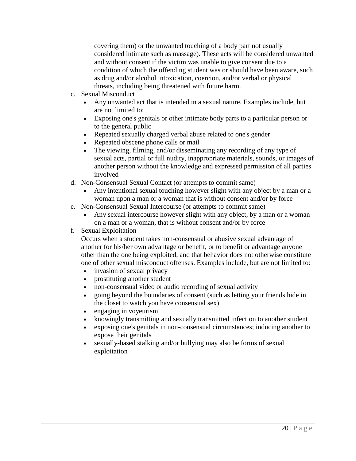covering them) or the unwanted touching of a body part not usually considered intimate such as massage). These acts will be considered unwanted and without consent if the victim was unable to give consent due to a condition of which the offending student was or should have been aware, such as drug and/or alcohol intoxication, coercion, and/or verbal or physical threats, including being threatened with future harm.

- c. Sexual Misconduct
	- Any unwanted act that is intended in a sexual nature. Examples include, but are not limited to:
	- Exposing one's genitals or other intimate body parts to a particular person or to the general public
	- Repeated sexually charged verbal abuse related to one's gender
	- Repeated obscene phone calls or mail
	- The viewing, filming, and/or disseminating any recording of any type of sexual acts, partial or full nudity, inappropriate materials, sounds, or images of another person without the knowledge and expressed permission of all parties involved
- d. Non-Consensual Sexual Contact (or attempts to commit same)
	- Any intentional sexual touching however slight with any object by a man or a woman upon a man or a woman that is without consent and/or by force
- e. Non-Consensual Sexual Intercourse (or attempts to commit same)
	- Any sexual intercourse however slight with any object, by a man or a woman on a man or a woman, that is without consent and/or by force

### f. Sexual Exploitation

Occurs when a student takes non-consensual or abusive sexual advantage of another for his/her own advantage or benefit, or to benefit or advantage anyone other than the one being exploited, and that behavior does not otherwise constitute one of other sexual misconduct offenses. Examples include, but are not limited to:

- invasion of sexual privacy
- prostituting another student
- non-consensual video or audio recording of sexual activity
- going beyond the boundaries of consent (such as letting your friends hide in the closet to watch you have consensual sex)
- engaging in voyeurism
- knowingly transmitting and sexually transmitted infection to another student
- exposing one's genitals in non-consensual circumstances; inducing another to expose their genitals
- sexually-based stalking and/or bullying may also be forms of sexual exploitation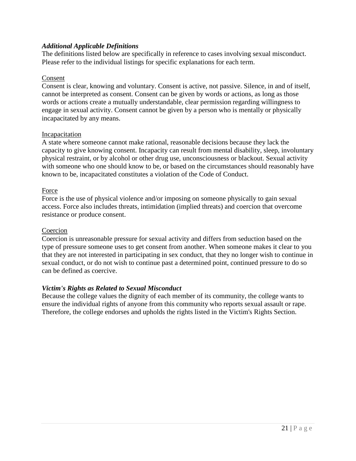### <span id="page-22-0"></span>*Additional Applicable Definitions*

The definitions listed below are specifically in reference to cases involving sexual misconduct. Please refer to the individual listings for specific explanations for each term.

### <span id="page-22-1"></span>Consent

Consent is clear, knowing and voluntary. Consent is active, not passive. Silence, in and of itself, cannot be interpreted as consent. Consent can be given by words or actions, as long as those words or actions create a mutually understandable, clear permission regarding willingness to engage in sexual activity. Consent cannot be given by a person who is mentally or physically incapacitated by any means.

### <span id="page-22-2"></span>**Incapacitation**

A state where someone cannot make rational, reasonable decisions because they lack the capacity to give knowing consent. Incapacity can result from mental disability, sleep, involuntary physical restraint, or by alcohol or other drug use, unconsciousness or blackout. Sexual activity with someone who one should know to be, or based on the circumstances should reasonably have known to be, incapacitated constitutes a violation of the Code of Conduct.

### <span id="page-22-3"></span>Force

Force is the use of physical violence and/or imposing on someone physically to gain sexual access. Force also includes threats, intimidation (implied threats) and coercion that overcome resistance or produce consent.

#### <span id="page-22-4"></span>Coercion

Coercion is unreasonable pressure for sexual activity and differs from seduction based on the type of pressure someone uses to get consent from another. When someone makes it clear to you that they are not interested in participating in sex conduct, that they no longer wish to continue in sexual conduct, or do not wish to continue past a determined point, continued pressure to do so can be defined as coercive.

### <span id="page-22-5"></span>*Victim's Rights as Related to Sexual Misconduct*

Because the college values the dignity of each member of its community, the college wants to ensure the individual rights of anyone from this community who reports sexual assault or rape. Therefore, the college endorses and upholds the rights listed in the Victim's Rights Section.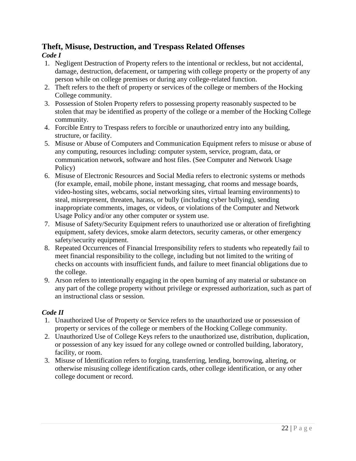# <span id="page-23-0"></span>**Theft, Misuse, Destruction, and Trespass Related Offenses**

## <span id="page-23-1"></span>*Code I*

- 1. Negligent Destruction of Property refers to the intentional or reckless, but not accidental, damage, destruction, defacement, or tampering with college property or the property of any person while on college premises or during any college-related function.
- 2. Theft refers to the theft of property or services of the college or members of the Hocking College community.
- 3. Possession of Stolen Property refers to possessing property reasonably suspected to be stolen that may be identified as property of the college or a member of the Hocking College community.
- 4. Forcible Entry to Trespass refers to forcible or unauthorized entry into any building, structure, or facility.
- 5. Misuse or Abuse of Computers and Communication Equipment refers to misuse or abuse of any computing, resources including: computer system, service, program, data, or communication network, software and host files. (See Computer and Network Usage Policy)
- 6. Misuse of Electronic Resources and Social Media refers to electronic systems or methods (for example, email, mobile phone, instant messaging, chat rooms and message boards, video-hosting sites, webcams, social networking sites, virtual learning environments) to steal, misrepresent, threaten, harass, or bully (including cyber bullying), sending inappropriate comments, images, or videos, or violations of the Computer and Network Usage Policy and/or any other computer or system use.
- 7. Misuse of Safety/Security Equipment refers to unauthorized use or alteration of firefighting equipment, safety devices, smoke alarm detectors, security cameras, or other emergency safety/security equipment.
- 8. Repeated Occurrences of Financial Irresponsibility refers to students who repeatedly fail to meet financial responsibility to the college, including but not limited to the writing of checks on accounts with insufficient funds, and failure to meet financial obligations due to the college.
- 9. Arson refers to intentionally engaging in the open burning of any material or substance on any part of the college property without privilege or expressed authorization, such as part of an instructional class or session.

# <span id="page-23-2"></span>*Code II*

- 1. Unauthorized Use of Property or Service refers to the unauthorized use or possession of property or services of the college or members of the Hocking College community.
- 2. Unauthorized Use of College Keys refers to the unauthorized use, distribution, duplication, or possession of any key issued for any college owned or controlled building, laboratory, facility, or room.
- 3. Misuse of Identification refers to forging, transferring, lending, borrowing, altering, or otherwise misusing college identification cards, other college identification, or any other college document or record.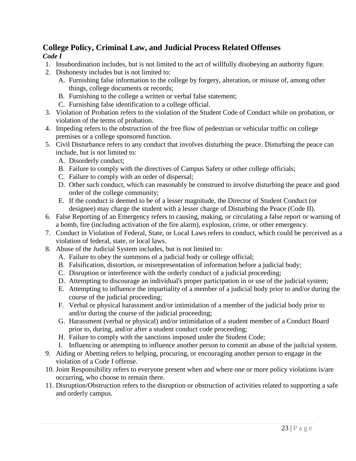# <span id="page-24-0"></span>**College Policy, Criminal Law, and Judicial Process Related Offenses** *Code I*

- <span id="page-24-1"></span>1. Insubordination includes, but is not limited to the act of willfully disobeying an authority figure.
- 2. Dishonesty includes but is not limited to:
	- A. Furnishing false information to the college by forgery, alteration, or misuse of, among other things, college documents or records;
	- B. Furnishing to the college a written or verbal false statement;
	- C. Furnishing false identification to a college official.
- 3. Violation of Probation refers to the violation of the Student Code of Conduct while on probation, or violation of the terms of probation.
- 4. Impeding refers to the obstruction of the free flow of pedestrian or vehicular traffic on college premises or a college sponsored function.
- 5. Civil Disturbance refers to any conduct that involves disturbing the peace. Disturbing the peace can include, but is not limited to:
	- A. Disorderly conduct;
	- B. Failure to comply with the directives of Campus Safety or other college officials;
	- C. Failure to comply with an order of dispersal;
	- D. Other such conduct, which can reasonably be construed to involve disturbing the peace and good order of the college community;
	- E. If the conduct is deemed to be of a lesser magnitude, the Director of Student Conduct (or designee) may charge the student with a lesser charge of Disturbing the Peace (Code II).
- 6. False Reporting of an Emergency refers to causing, making, or circulating a false report or warning of a bomb, fire (including activation of the fire alarm), explosion, crime, or other emergency.
- 7. Conduct in Violation of Federal, State, or Local Laws refers to conduct, which could be perceived as a violation of federal, state, or local laws.
- 8. Abuse of the Judicial System includes, but is not limited to:
	- A. Failure to obey the summons of a judicial body or college official;
	- B. Falsification, distortion, or misrepresentation of information before a judicial body;
	- C. Disruption or interference with the orderly conduct of a judicial proceeding;
	- D. Attempting to discourage an individual's proper participation in or use of the judicial system;
	- E. Attempting to influence the impartiality of a member of a judicial body prior to and/or during the course of the judicial proceeding;
	- F. Verbal or physical harassment and/or intimidation of a member of the judicial body prior to and/or during the course of the judicial proceeding;
	- G. Harassment (verbal or physical) and/or intimidation of a student member of a Conduct Board prior to, during, and/or after a student conduct code proceeding;
	- H. Failure to comply with the sanctions imposed under the Student Code;
	- I. Influencing or attempting to influence another person to commit an abuse of the judicial system.
- 9. Aiding or Abetting refers to helping, procuring, or encouraging another person to engage in the violation of a Code I offense.
- 10. Joint Responsibility refers to everyone present when and where one or more policy violations is/are occurring, who choose to remain there.
- 11. Disruption/Obstruction refers to the disruption or obstruction of activities related to supporting a safe and orderly campus.